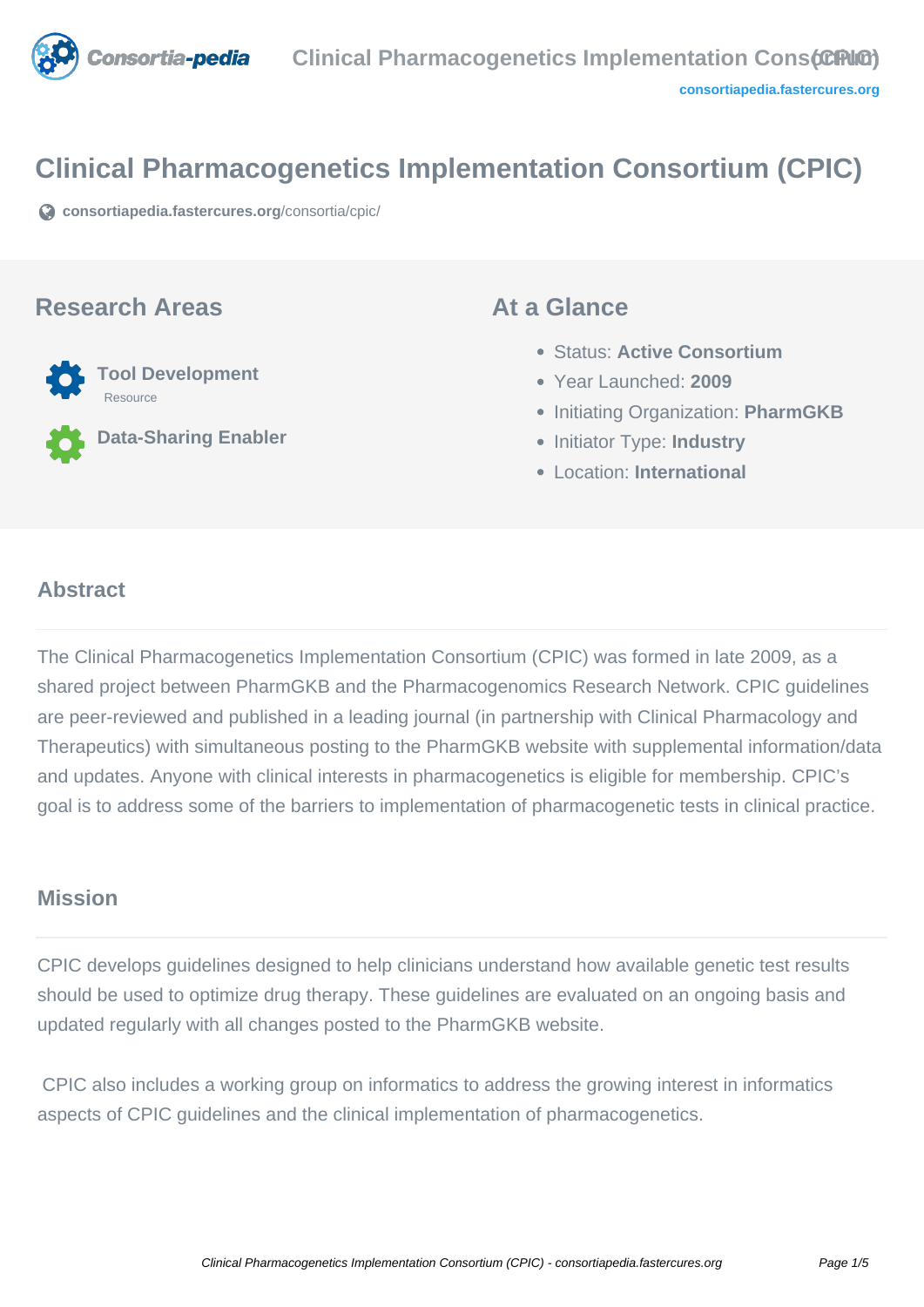

# **Clinical Pharmacogenetics Implementation Consortium (CPIC)**

**[consortiapedia.fastercures.org](https://consortiapedia.fastercures.org/consortia/cpic/)**[/consortia/cpic/](https://consortiapedia.fastercures.org/consortia/cpic/)

#### **Research Areas**



**Data-Sharing Enabler**

#### **At a Glance**

- Status: **Active Consortium**
- Year Launched: **2009**
- **Initiating Organization: PharmGKB**
- **Initiator Type: Industry**
- Location: **International**

#### $\overline{a}$ **Abstract**

The Clinical Pharmacogenetics Implementation Consortium (CPIC) was formed in late 2009, as a shared project between PharmGKB and the Pharmacogenomics Research Network. CPIC guidelines are peer-reviewed and published in a leading journal (in partnership with Clinical Pharmacology and Therapeutics) with simultaneous posting to the PharmGKB website with supplemental information/data and updates. Anyone with clinical interests in pharmacogenetics is eligible for membership. CPIC's goal is to address some of the barriers to implementation of pharmacogenetic tests in clinical practice.

#### **Mission**

CPIC develops guidelines designed to help clinicians understand how available genetic test results should be used to optimize drug therapy. These guidelines are evaluated on an ongoing basis and updated regularly with all changes posted to the PharmGKB website.

 CPIC also includes a working group on informatics to address the growing interest in informatics aspects of CPIC guidelines and the clinical implementation of pharmacogenetics.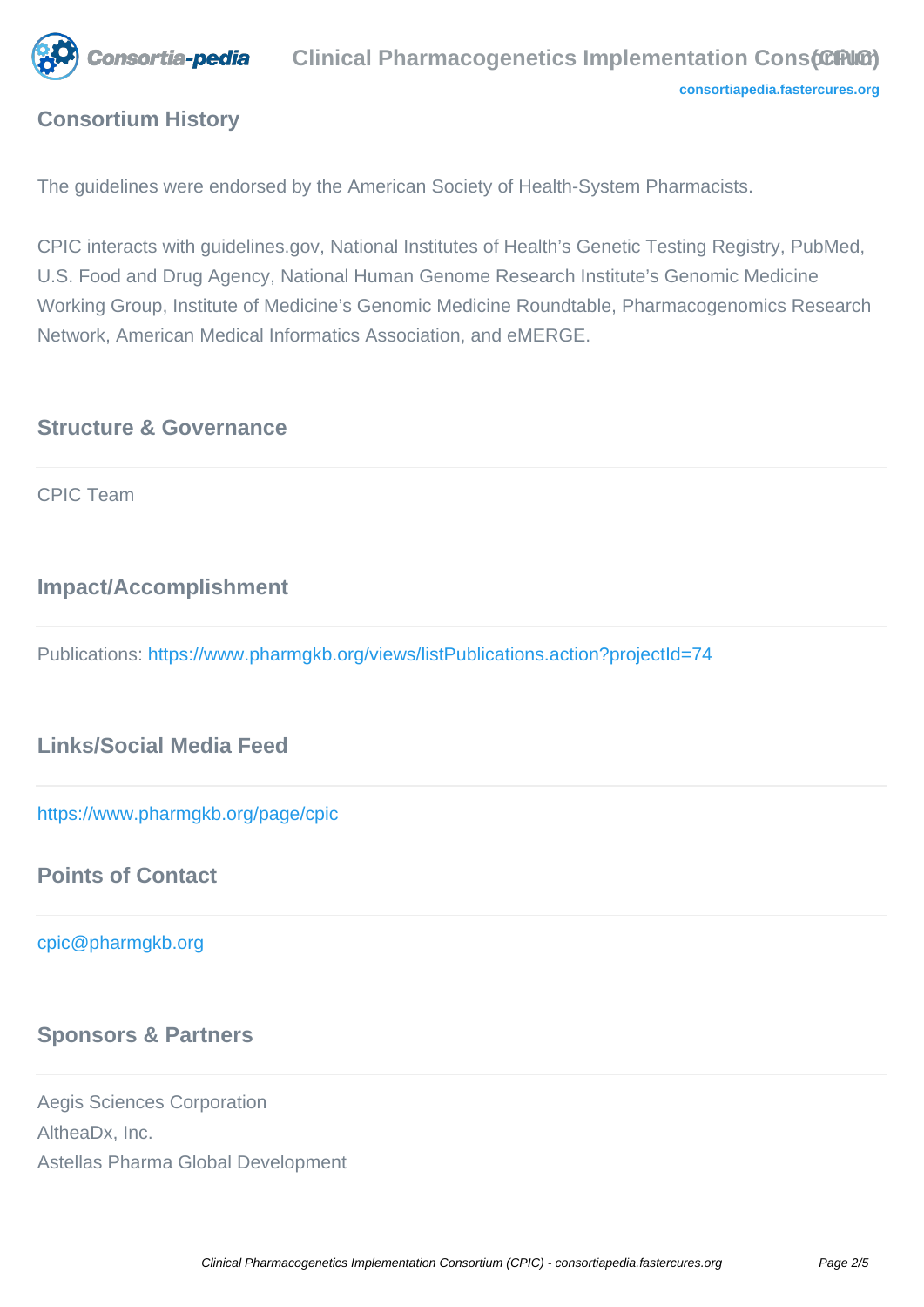

## **Consortium History**

The guidelines were endorsed by the American Society of Health-System Pharmacists.

CPIC interacts with guidelines.gov, National Institutes of Health's Genetic Testing Registry, PubMed, U.S. Food and Drug Agency, National Human Genome Research Institute's Genomic Medicine Working Group, Institute of Medicine's Genomic Medicine Roundtable, Pharmacogenomics Research Network, American Medical Informatics Association, and eMERGE.

## **Structure & Governance**

CPIC Team

## **Impact/Accomplishment**

Publications:<https://www.pharmgkb.org/views/listPublications.action?projectId=74>

## **Links/Social Media Feed**

<https://www.pharmgkb.org/page/cpic>

#### **Points of Contact**

[cpic@pharmgkb.org](mailto:cpic@pharmgkb.org) 

## **Sponsors & Partners**

Aegis Sciences Corporation AltheaDx, Inc. Astellas Pharma Global Development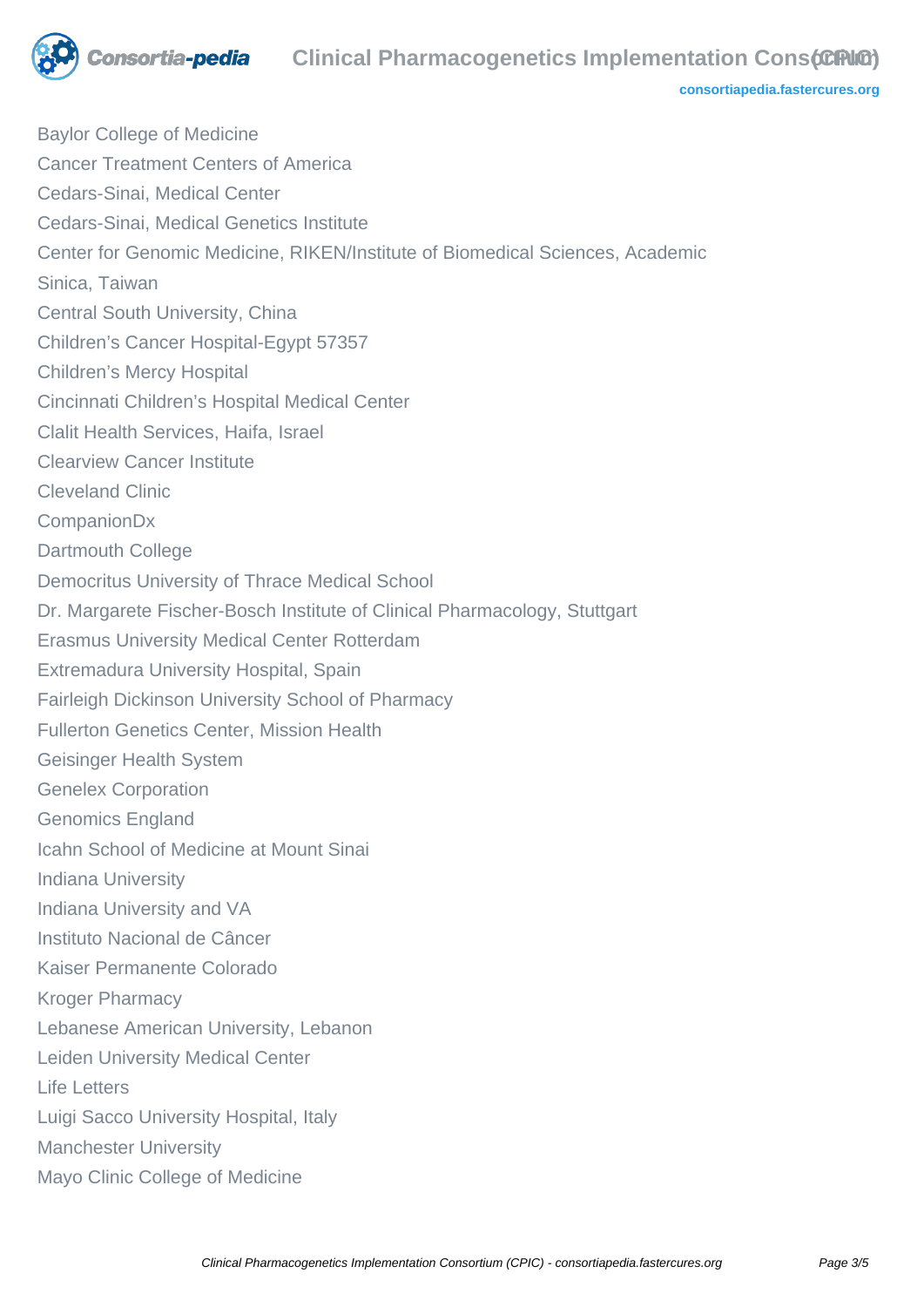

#### **consortia-pedia** Clinical Pharmacogenetics Implementation Constant Constant Constant Constant Constant Constant Constant Constant Constant Constant Constant Constant Constant Constant Constant Constant Constant Constant C

**[consortiapedia.fastercures.org](http://consortiapedia.fastercures.org/)**

Baylor College of Medicine Cancer Treatment Centers of America Cedars-Sinai, Medical Center Cedars-Sinai, Medical Genetics Institute Center for Genomic Medicine, RIKEN/Institute of Biomedical Sciences, Academic Sinica, Taiwan Central South University, China Children's Cancer Hospital-Egypt 57357 Children's Mercy Hospital Cincinnati Children's Hospital Medical Center Clalit Health Services, Haifa, Israel Clearview Cancer Institute Cleveland Clinic CompanionDx Dartmouth College Democritus University of Thrace Medical School Dr. Margarete Fischer-Bosch Institute of Clinical Pharmacology, Stuttgart Erasmus University Medical Center Rotterdam Extremadura University Hospital, Spain Fairleigh Dickinson University School of Pharmacy Fullerton Genetics Center, Mission Health Geisinger Health System Genelex Corporation Genomics England Icahn School of Medicine at Mount Sinai Indiana University Indiana University and VA Instituto Nacional de Câncer Kaiser Permanente Colorado Kroger Pharmacy Lebanese American University, Lebanon Leiden University Medical Center Life Letters Luigi Sacco University Hospital, Italy Manchester University Mayo Clinic College of Medicine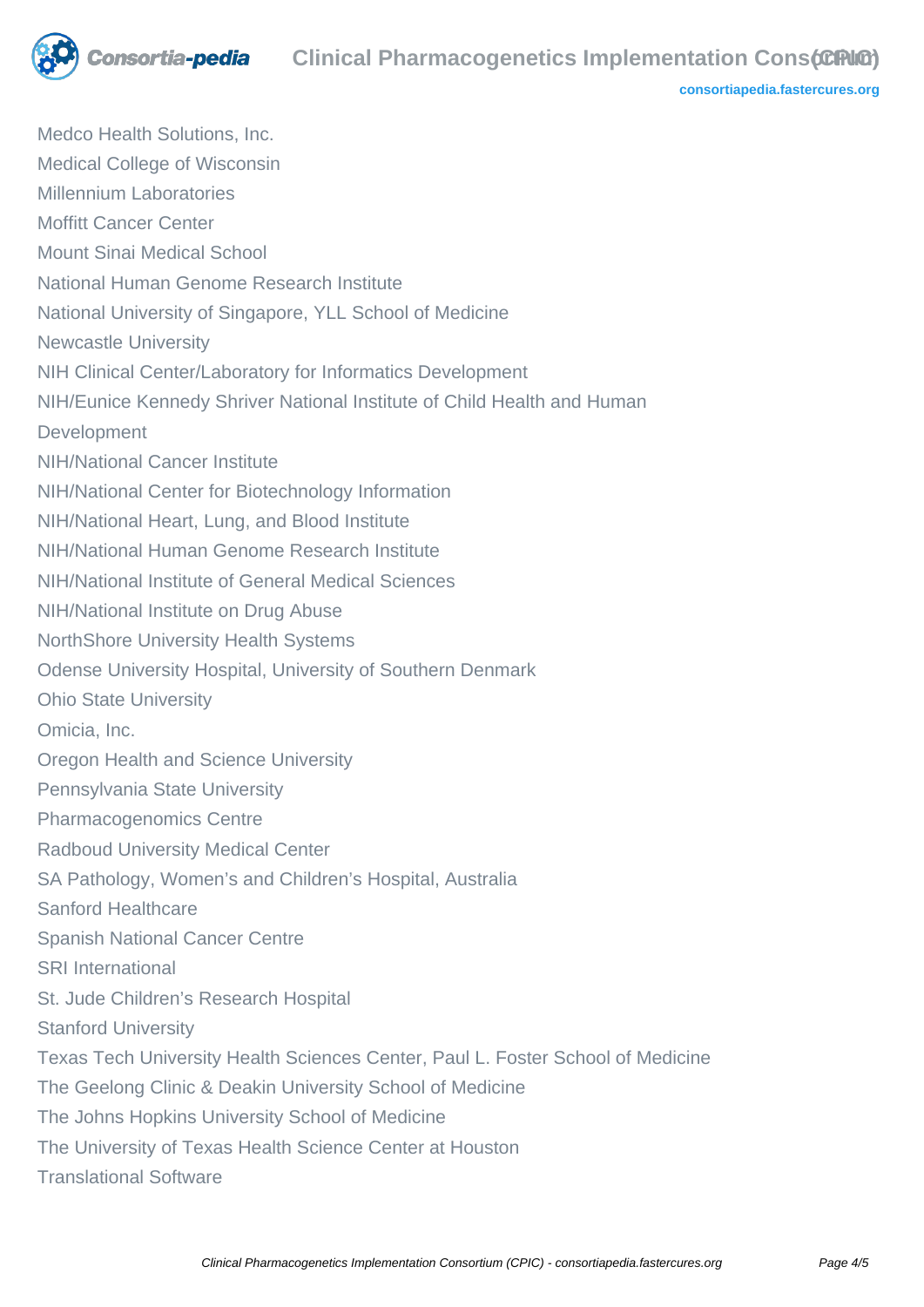

**[consortiapedia.fastercures.org](http://consortiapedia.fastercures.org/)**

Medco Health Solutions, Inc. Medical College of Wisconsin Millennium Laboratories Moffitt Cancer Center Mount Sinai Medical School National Human Genome Research Institute National University of Singapore, YLL School of Medicine Newcastle University NIH Clinical Center/Laboratory for Informatics Development NIH/Eunice Kennedy Shriver National Institute of Child Health and Human Development NIH/National Cancer Institute NIH/National Center for Biotechnology Information NIH/National Heart, Lung, and Blood Institute NIH/National Human Genome Research Institute NIH/National Institute of General Medical Sciences NIH/National Institute on Drug Abuse NorthShore University Health Systems Odense University Hospital, University of Southern Denmark Ohio State University Omicia, Inc. Oregon Health and Science University Pennsylvania State University Pharmacogenomics Centre Radboud University Medical Center SA Pathology, Women's and Children's Hospital, Australia Sanford Healthcare Spanish National Cancer Centre SRI International St. Jude Children's Research Hospital Stanford University Texas Tech University Health Sciences Center, Paul L. Foster School of Medicine The Geelong Clinic & Deakin University School of Medicine The Johns Hopkins University School of Medicine The University of Texas Health Science Center at Houston Translational Software